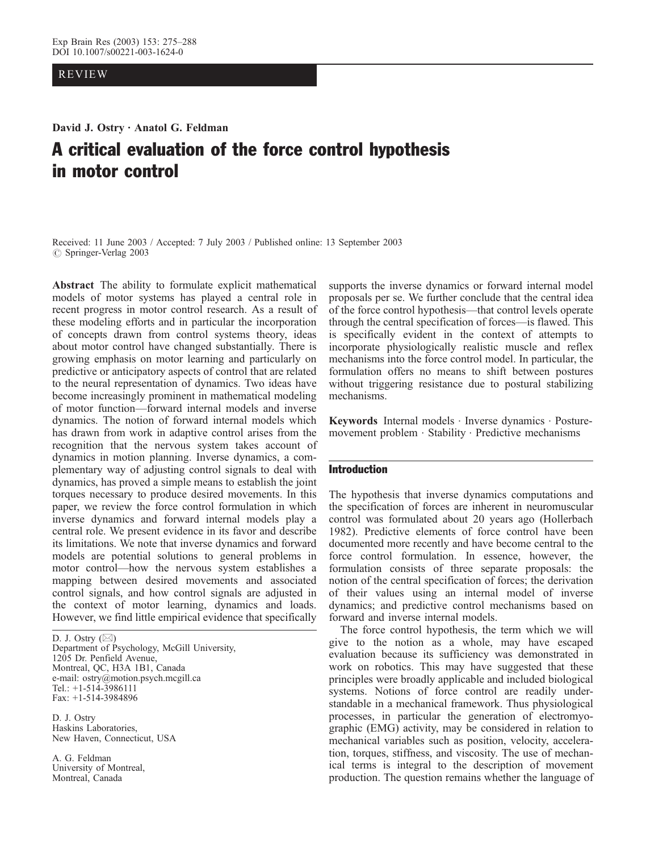# REVIEW

David J. Ostry . Anatol G. Feldman

# A critical evaluation of the force control hypothesis in motor control

Received: 11 June 2003 / Accepted: 7 July 2003 / Published online: 13 September 2003 *#* Springer-Verlag 2003

Abstract The ability to formulate explicit mathematical models of motor systems has played a central role in recent progress in motor control research. As a result of these modeling efforts and in particular the incorporation of concepts drawn from control systems theory, ideas about motor control have changed substantially. There is growing emphasis on motor learning and particularly on predictive or anticipatory aspects of control that are related to the neural representation of dynamics. Two ideas have become increasingly prominent in mathematical modeling of motor function—forward internal models and inverse dynamics. The notion of forward internal models which has drawn from work in adaptive control arises from the recognition that the nervous system takes account of dynamics in motion planning. Inverse dynamics, a complementary way of adjusting control signals to deal with dynamics, has proved a simple means to establish the joint torques necessary to produce desired movements. In this paper, we review the force control formulation in which inverse dynamics and forward internal models play a central role. We present evidence in its favor and describe its limitations. We note that inverse dynamics and forward models are potential solutions to general problems in motor control—how the nervous system establishes a mapping between desired movements and associated control signals, and how control signals are adjusted in the context of motor learning, dynamics and loads. However, we find little empirical evidence that specifically

D. J. Ostry (*\**)

Department of Psychology, McGill University, 1205 Dr. Penfield Avenue, Montreal, QC, H3A 1B1, Canada e-mail: ostry@motion.psych.mcgill.ca Tel.: +1-514-3986111 Fax: +1-514-3984896

D. J. Ostry Haskins Laboratories, New Haven, Connecticut, USA

A. G. Feldman University of Montreal, Montreal, Canada

supports the inverse dynamics or forward internal model proposals per se. We further conclude that the central idea of the force control hypothesis—that control levels operate through the central specification of forces—is flawed. This is specifically evident in the context of attempts to incorporate physiologically realistic muscle and reflex mechanisms into the force control model. In particular, the formulation offers no means to shift between postures without triggering resistance due to postural stabilizing mechanisms.

Keywords Internal models . Inverse dynamics . Posturemovement problem . Stability . Predictive mechanisms

# Introduction

The hypothesis that inverse dynamics computations and the specification of forces are inherent in neuromuscular control was formulated about 20 years ago (Hollerbach 1982). Predictive elements of force control have been documented more recently and have become central to the force control formulation. In essence, however, the formulation consists of three separate proposals: the notion of the central specification of forces; the derivation of their values using an internal model of inverse dynamics; and predictive control mechanisms based on forward and inverse internal models.

The force control hypothesis, the term which we will give to the notion as a whole, may have escaped evaluation because its sufficiency was demonstrated in work on robotics. This may have suggested that these principles were broadly applicable and included biological systems. Notions of force control are readily understandable in a mechanical framework. Thus physiological processes, in particular the generation of electromyographic (EMG) activity, may be considered in relation to mechanical variables such as position, velocity, acceleration, torques, stiffness, and viscosity. The use of mechanical terms is integral to the description of movement production. The question remains whether the language of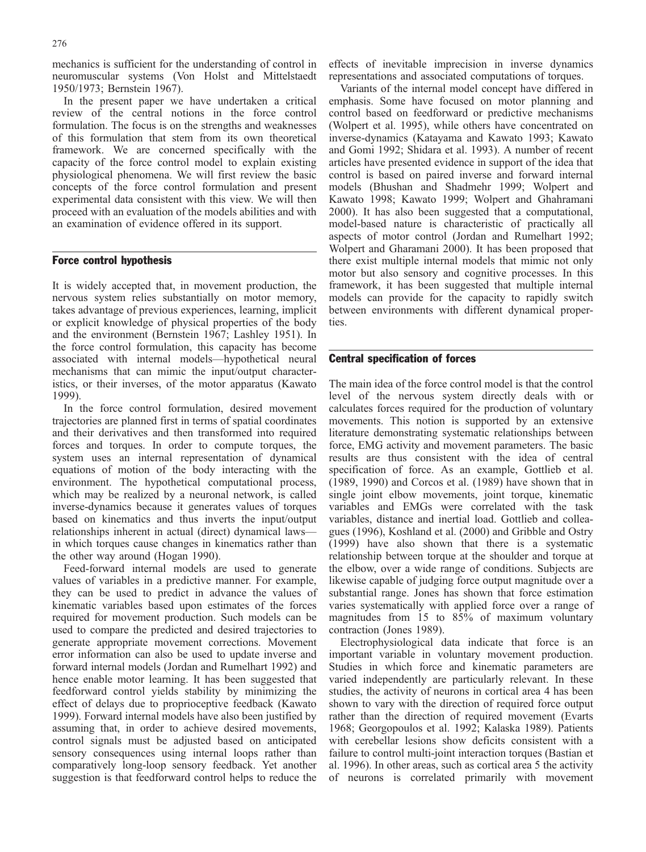mechanics is sufficient for the understanding of control in neuromuscular systems (Von Holst and Mittelstaedt 1950/1973; Bernstein 1967).

In the present paper we have undertaken a critical review of the central notions in the force control formulation. The focus is on the strengths and weaknesses of this formulation that stem from its own theoretical framework. We are concerned specifically with the capacity of the force control model to explain existing physiological phenomena. We will first review the basic concepts of the force control formulation and present experimental data consistent with this view. We will then proceed with an evaluation of the models abilities and with an examination of evidence offered in its support.

# Force control hypothesis

It is widely accepted that, in movement production, the nervous system relies substantially on motor memory, takes advantage of previous experiences, learning, implicit or explicit knowledge of physical properties of the body and the environment (Bernstein 1967; Lashley 1951). In the force control formulation, this capacity has become associated with internal models—hypothetical neural mechanisms that can mimic the input/output characteristics, or their inverses, of the motor apparatus (Kawato 1999).

In the force control formulation, desired movement trajectories are planned first in terms of spatial coordinates and their derivatives and then transformed into required forces and torques. In order to compute torques, the system uses an internal representation of dynamical equations of motion of the body interacting with the environment. The hypothetical computational process, which may be realized by a neuronal network, is called inverse-dynamics because it generates values of torques based on kinematics and thus inverts the input/output relationships inherent in actual (direct) dynamical laws in which torques cause changes in kinematics rather than the other way around (Hogan 1990).

Feed-forward internal models are used to generate values of variables in a predictive manner. For example, they can be used to predict in advance the values of kinematic variables based upon estimates of the forces required for movement production. Such models can be used to compare the predicted and desired trajectories to generate appropriate movement corrections. Movement error information can also be used to update inverse and forward internal models (Jordan and Rumelhart 1992) and hence enable motor learning. It has been suggested that feedforward control yields stability by minimizing the effect of delays due to proprioceptive feedback (Kawato 1999). Forward internal models have also been justified by assuming that, in order to achieve desired movements, control signals must be adjusted based on anticipated sensory consequences using internal loops rather than comparatively long-loop sensory feedback. Yet another suggestion is that feedforward control helps to reduce the

effects of inevitable imprecision in inverse dynamics representations and associated computations of torques.

Variants of the internal model concept have differed in emphasis. Some have focused on motor planning and control based on feedforward or predictive mechanisms (Wolpert et al. 1995), while others have concentrated on inverse-dynamics (Katayama and Kawato 1993; Kawato and Gomi 1992; Shidara et al. 1993). A number of recent articles have presented evidence in support of the idea that control is based on paired inverse and forward internal models (Bhushan and Shadmehr 1999; Wolpert and Kawato 1998; Kawato 1999; Wolpert and Ghahramani 2000). It has also been suggested that a computational, model-based nature is characteristic of practically all aspects of motor control (Jordan and Rumelhart 1992; Wolpert and Gharamani 2000). It has been proposed that there exist multiple internal models that mimic not only motor but also sensory and cognitive processes. In this framework, it has been suggested that multiple internal models can provide for the capacity to rapidly switch between environments with different dynamical properties.

# Central specification of forces

The main idea of the force control model is that the control level of the nervous system directly deals with or calculates forces required for the production of voluntary movements. This notion is supported by an extensive literature demonstrating systematic relationships between force, EMG activity and movement parameters. The basic results are thus consistent with the idea of central specification of force. As an example, Gottlieb et al. (1989, 1990) and Corcos et al. (1989) have shown that in single joint elbow movements, joint torque, kinematic variables and EMGs were correlated with the task variables, distance and inertial load. Gottlieb and colleagues (1996), Koshland et al. (2000) and Gribble and Ostry (1999) have also shown that there is a systematic relationship between torque at the shoulder and torque at the elbow, over a wide range of conditions. Subjects are likewise capable of judging force output magnitude over a substantial range. Jones has shown that force estimation varies systematically with applied force over a range of magnitudes from 15 to 85% of maximum voluntary contraction (Jones 1989).

Electrophysiological data indicate that force is an important variable in voluntary movement production. Studies in which force and kinematic parameters are varied independently are particularly relevant. In these studies, the activity of neurons in cortical area 4 has been shown to vary with the direction of required force output rather than the direction of required movement (Evarts 1968; Georgopoulos et al. 1992; Kalaska 1989). Patients with cerebellar lesions show deficits consistent with a failure to control multi-joint interaction torques (Bastian et al. 1996). In other areas, such as cortical area 5 the activity of neurons is correlated primarily with movement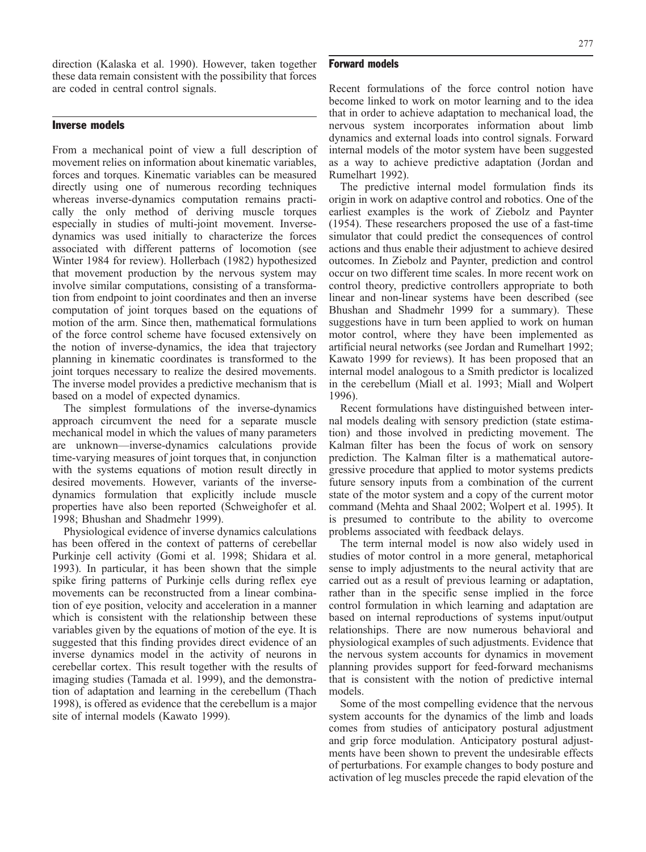direction (Kalaska et al. 1990). However, taken together these data remain consistent with the possibility that forces are coded in central control signals.

## Inverse models

From a mechanical point of view a full description of movement relies on information about kinematic variables, forces and torques. Kinematic variables can be measured directly using one of numerous recording techniques whereas inverse-dynamics computation remains practically the only method of deriving muscle torques especially in studies of multi-joint movement. Inversedynamics was used initially to characterize the forces associated with different patterns of locomotion (see Winter 1984 for review). Hollerbach (1982) hypothesized that movement production by the nervous system may involve similar computations, consisting of a transformation from endpoint to joint coordinates and then an inverse computation of joint torques based on the equations of motion of the arm. Since then, mathematical formulations of the force control scheme have focused extensively on the notion of inverse-dynamics, the idea that trajectory planning in kinematic coordinates is transformed to the joint torques necessary to realize the desired movements. The inverse model provides a predictive mechanism that is based on a model of expected dynamics.

The simplest formulations of the inverse-dynamics approach circumvent the need for a separate muscle mechanical model in which the values of many parameters are unknown—inverse-dynamics calculations provide time-varying measures of joint torques that, in conjunction with the systems equations of motion result directly in desired movements. However, variants of the inversedynamics formulation that explicitly include muscle properties have also been reported (Schweighofer et al. 1998; Bhushan and Shadmehr 1999).

Physiological evidence of inverse dynamics calculations has been offered in the context of patterns of cerebellar Purkinje cell activity (Gomi et al. 1998; Shidara et al. 1993). In particular, it has been shown that the simple spike firing patterns of Purkinje cells during reflex eye movements can be reconstructed from a linear combination of eye position, velocity and acceleration in a manner which is consistent with the relationship between these variables given by the equations of motion of the eye. It is suggested that this finding provides direct evidence of an inverse dynamics model in the activity of neurons in cerebellar cortex. This result together with the results of imaging studies (Tamada et al. 1999), and the demonstration of adaptation and learning in the cerebellum (Thach 1998), is offered as evidence that the cerebellum is a major site of internal models (Kawato 1999).

# Forward models

Recent formulations of the force control notion have become linked to work on motor learning and to the idea that in order to achieve adaptation to mechanical load, the nervous system incorporates information about limb dynamics and external loads into control signals. Forward internal models of the motor system have been suggested as a way to achieve predictive adaptation (Jordan and Rumelhart 1992).

The predictive internal model formulation finds its origin in work on adaptive control and robotics. One of the earliest examples is the work of Ziebolz and Paynter (1954). These researchers proposed the use of a fast-time simulator that could predict the consequences of control actions and thus enable their adjustment to achieve desired outcomes. In Ziebolz and Paynter, prediction and control occur on two different time scales. In more recent work on control theory, predictive controllers appropriate to both linear and non-linear systems have been described (see Bhushan and Shadmehr 1999 for a summary). These suggestions have in turn been applied to work on human motor control, where they have been implemented as artificial neural networks (see Jordan and Rumelhart 1992; Kawato 1999 for reviews). It has been proposed that an internal model analogous to a Smith predictor is localized in the cerebellum (Miall et al. 1993; Miall and Wolpert 1996).

Recent formulations have distinguished between internal models dealing with sensory prediction (state estimation) and those involved in predicting movement. The Kalman filter has been the focus of work on sensory prediction. The Kalman filter is a mathematical autoregressive procedure that applied to motor systems predicts future sensory inputs from a combination of the current state of the motor system and a copy of the current motor command (Mehta and Shaal 2002; Wolpert et al. 1995). It is presumed to contribute to the ability to overcome problems associated with feedback delays.

The term internal model is now also widely used in studies of motor control in a more general, metaphorical sense to imply adjustments to the neural activity that are carried out as a result of previous learning or adaptation, rather than in the specific sense implied in the force control formulation in which learning and adaptation are based on internal reproductions of systems input/output relationships. There are now numerous behavioral and physiological examples of such adjustments. Evidence that the nervous system accounts for dynamics in movement planning provides support for feed-forward mechanisms that is consistent with the notion of predictive internal models.

Some of the most compelling evidence that the nervous system accounts for the dynamics of the limb and loads comes from studies of anticipatory postural adjustment and grip force modulation. Anticipatory postural adjustments have been shown to prevent the undesirable effects of perturbations. For example changes to body posture and activation of leg muscles precede the rapid elevation of the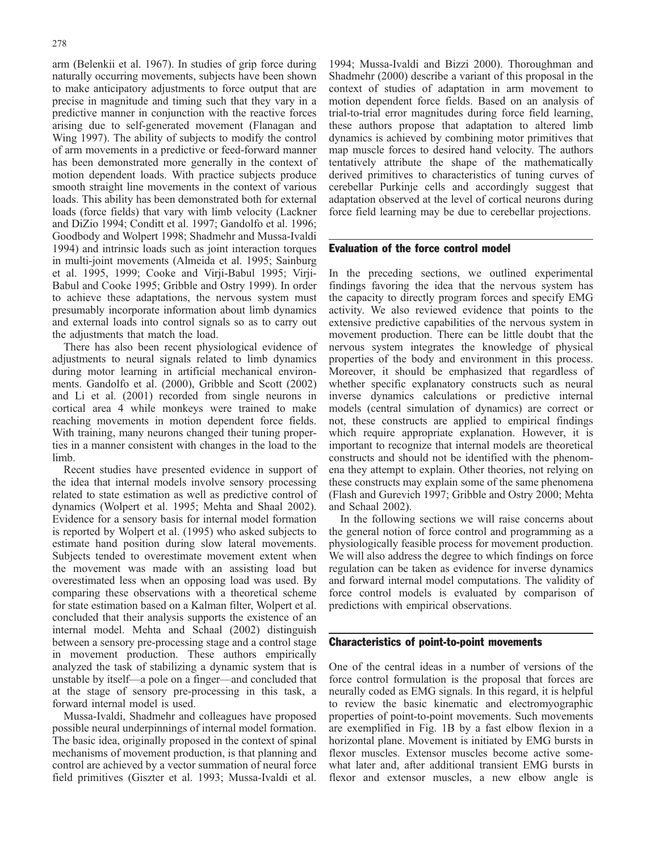arm (Belenkii et al. 1967). In studies of grip force during naturally occurring movements, subjects have been shown to make anticipatory adjustments to force output that are precise in magnitude and timing such that they vary in a predictive manner in conjunction with the reactive forces arising due to self-generated movement (Flanagan and Wing 1997). The ability of subjects to modify the control of arm movements in a predictive or feed-forward manner has been demonstrated more generally in the context of motion dependent loads. With practice subjects produce smooth straight line movements in the context of various loads. This ability has been demonstrated both for external loads (force fields) that vary with limb velocity (Lackner and DiZio 1994; Conditt et al. 1997; Gandolfo et al. 1996; Goodbody and Wolpert 1998; Shadmehr and Mussa-Ivaldi 1994) and intrinsic loads such as joint interaction torques in multi-joint movements (Almeida et al. 1995; Sainburg et al. 1995, 1999; Cooke and Virji-Babul 1995; Virji-Babul and Cooke 1995; Gribble and Ostry 1999). In order to achieve these adaptations, the nervous system must presumably incorporate information about limb dynamics and external loads into control signals so as to carry out the adjustments that match the load.

There has also been recent physiological evidence of adjustments to neural signals related to limb dynamics during motor learning in artificial mechanical environments. Gandolfo et al. (2000), Gribble and Scott (2002) and Li et al. (2001) recorded from single neurons in cortical area 4 while monkeys were trained to make reaching movements in motion dependent force fields. With training, many neurons changed their tuning properties in a manner consistent with changes in the load to the limb.

Recent studies have presented evidence in support of the idea that internal models involve sensory processing related to state estimation as well as predictive control of dynamics (Wolpert et al. 1995; Mehta and Shaal 2002). Evidence for a sensory basis for internal model formation is reported by Wolpert et al. (1995) who asked subjects to estimate hand position during slow lateral movements. Subjects tended to overestimate movement extent when the movement was made with an assisting load but overestimated less when an opposing load was used. By comparing these observations with a theoretical scheme for state estimation based on a Kalman filter, Wolpert et al. concluded that their analysis supports the existence of an internal model. Mehta and Schaal (2002) distinguish between a sensory pre-processing stage and a control stage in movement production. These authors empirically analyzed the task of stabilizing a dynamic system that is unstable by itself—a pole on a finger—and concluded that at the stage of sensory pre-processing in this task, a forward internal model is used.

Mussa-Ivaldi, Shadmehr and colleagues have proposed possible neural underpinnings of internal model formation. The basic idea, originally proposed in the context of spinal mechanisms of movement production, is that planning and control are achieved by a vector summation of neural force field primitives (Giszter et al. 1993; Mussa-Ivaldi et al.

1994; Mussa-Ivaldi and Bizzi 2000). Thoroughman and Shadmehr (2000) describe a variant of this proposal in the context of studies of adaptation in arm movement to motion dependent force fields. Based on an analysis of trial-to-trial error magnitudes during force field learning, these authors propose that adaptation to altered limb dynamics is achieved by combining motor primitives that map muscle forces to desired hand velocity. The authors tentatively attribute the shape of the mathematically derived primitives to characteristics of tuning curves of cerebellar Purkinje cells and accordingly suggest that adaptation observed at the level of cortical neurons during force field learning may be due to cerebellar projections.

## Evaluation of the force control model

In the preceding sections, we outlined experimental findings favoring the idea that the nervous system has the capacity to directly program forces and specify EMG activity. We also reviewed evidence that points to the extensive predictive capabilities of the nervous system in movement production. There can be little doubt that the nervous system integrates the knowledge of physical properties of the body and environment in this process. Moreover, it should be emphasized that regardless of whether specific explanatory constructs such as neural inverse dynamics calculations or predictive internal models (central simulation of dynamics) are correct or not, these constructs are applied to empirical findings which require appropriate explanation. However, it is important to recognize that internal models are theoretical constructs and should not be identified with the phenomena they attempt to explain. Other theories, not relying on these constructs may explain some of the same phenomena (Flash and Gurevich 1997; Gribble and Ostry 2000; Mehta and Schaal 2002).

In the following sections we will raise concerns about the general notion of force control and programming as a physiologically feasible process for movement production. We will also address the degree to which findings on force regulation can be taken as evidence for inverse dynamics and forward internal model computations. The validity of force control models is evaluated by comparison of predictions with empirical observations.

## Characteristics of point-to-point movements

One of the central ideas in a number of versions of the force control formulation is the proposal that forces are neurally coded as EMG signals. In this regard, it is helpful to review the basic kinematic and electromyographic properties of point-to-point movements. Such movements are exemplified in Fig. 1B by a fast elbow flexion in a horizontal plane. Movement is initiated by EMG bursts in flexor muscles. Extensor muscles become active somewhat later and, after additional transient EMG bursts in flexor and extensor muscles, a new elbow angle is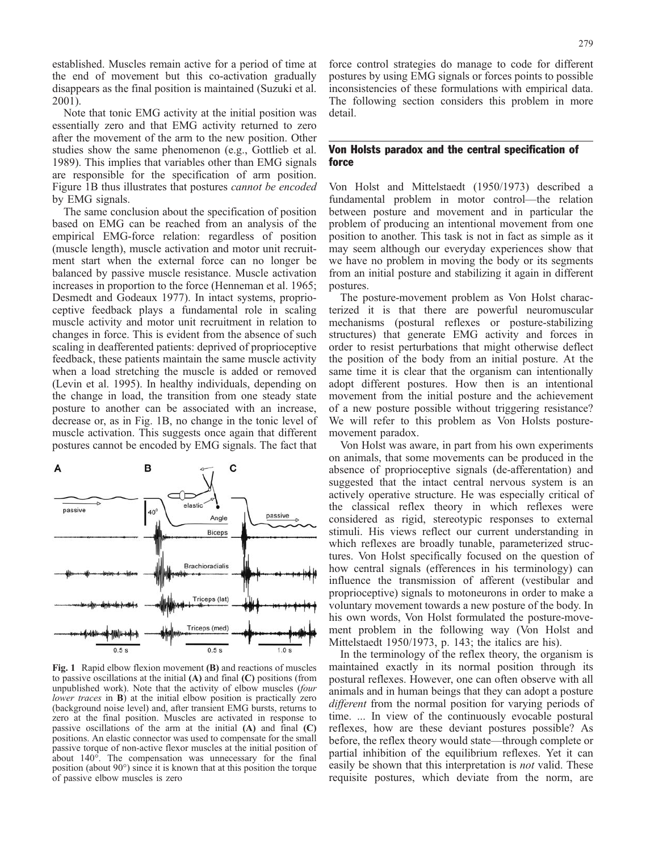established. Muscles remain active for a period of time at the end of movement but this co-activation gradually disappears as the final position is maintained (Suzuki et al. 2001).

Note that tonic EMG activity at the initial position was essentially zero and that EMG activity returned to zero after the movement of the arm to the new position. Other studies show the same phenomenon (e.g., Gottlieb et al. 1989). This implies that variables other than EMG signals are responsible for the specification of arm position. Figure 1B thus illustrates that postures cannot be encoded by EMG signals.

The same conclusion about the specification of position based on EMG can be reached from an analysis of the empirical EMG-force relation: regardless of position (muscle length), muscle activation and motor unit recruitment start when the external force can no longer be balanced by passive muscle resistance. Muscle activation increases in proportion to the force (Henneman et al. 1965; Desmedt and Godeaux 1977). In intact systems, proprioceptive feedback plays a fundamental role in scaling muscle activity and motor unit recruitment in relation to changes in force. This is evident from the absence of such scaling in deafferented patients: deprived of proprioceptive feedback, these patients maintain the same muscle activity when a load stretching the muscle is added or removed (Levin et al. 1995). In healthy individuals, depending on the change in load, the transition from one steady state posture to another can be associated with an increase, decrease or, as in Fig. 1B, no change in the tonic level of muscle activation. This suggests once again that different postures cannot be encoded by EMG signals. The fact that



Fig. 1 Rapid elbow flexion movement (B) and reactions of muscles to passive oscillations at the initial (A) and final (C) positions (from unpublished work). Note that the activity of elbow muscles (four lower traces in **B**) at the initial elbow position is practically zero (background noise level) and, after transient EMG bursts, returns to zero at the final position. Muscles are activated in response to passive oscillations of the arm at the initial (A) and final (C) positions. An elastic connector was used to compensate for the small passive torque of non-active flexor muscles at the initial position of about 140°. The compensation was unnecessary for the final position (about 90°) since it is known that at this position the torque of passive elbow muscles is zero

force control strategies do manage to code for different postures by using EMG signals or forces points to possible inconsistencies of these formulations with empirical data. The following section considers this problem in more detail.

# Von Holsts paradox and the central specification of force

Von Holst and Mittelstaedt (1950/1973) described a fundamental problem in motor control—the relation between posture and movement and in particular the problem of producing an intentional movement from one position to another. This task is not in fact as simple as it may seem although our everyday experiences show that we have no problem in moving the body or its segments from an initial posture and stabilizing it again in different postures.

The posture-movement problem as Von Holst characterized it is that there are powerful neuromuscular mechanisms (postural reflexes or posture-stabilizing structures) that generate EMG activity and forces in order to resist perturbations that might otherwise deflect the position of the body from an initial posture. At the same time it is clear that the organism can intentionally adopt different postures. How then is an intentional movement from the initial posture and the achievement of a new posture possible without triggering resistance? We will refer to this problem as Von Holsts posturemovement paradox.

Von Holst was aware, in part from his own experiments on animals, that some movements can be produced in the absence of proprioceptive signals (de-afferentation) and suggested that the intact central nervous system is an actively operative structure. He was especially critical of the classical reflex theory in which reflexes were considered as rigid, stereotypic responses to external stimuli. His views reflect our current understanding in which reflexes are broadly tunable, parameterized structures. Von Holst specifically focused on the question of how central signals (efferences in his terminology) can influence the transmission of afferent (vestibular and proprioceptive) signals to motoneurons in order to make a voluntary movement towards a new posture of the body. In his own words, Von Holst formulated the posture-movement problem in the following way (Von Holst and Mittelstaedt 1950/1973, p. 143; the italics are his).

In the terminology of the reflex theory, the organism is maintained exactly in its normal position through its postural reflexes. However, one can often observe with all animals and in human beings that they can adopt a posture different from the normal position for varying periods of time. ... In view of the continuously evocable postural reflexes, how are these deviant postures possible? As before, the reflex theory would state—through complete or partial inhibition of the equilibrium reflexes. Yet it can easily be shown that this interpretation is *not* valid. These requisite postures, which deviate from the norm, are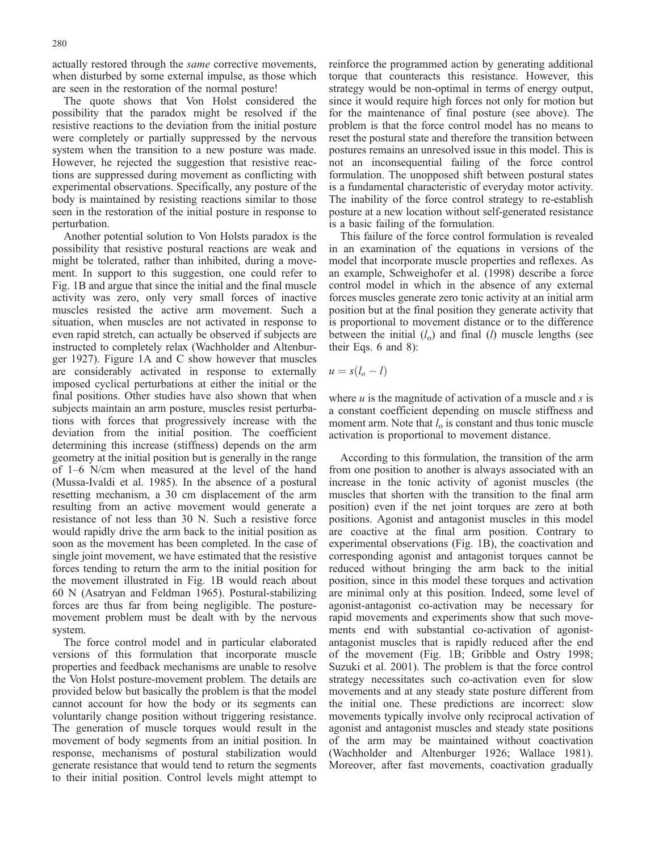actually restored through the same corrective movements, when disturbed by some external impulse, as those which are seen in the restoration of the normal posture!

The quote shows that Von Holst considered the possibility that the paradox might be resolved if the resistive reactions to the deviation from the initial posture were completely or partially suppressed by the nervous system when the transition to a new posture was made. However, he rejected the suggestion that resistive reactions are suppressed during movement as conflicting with experimental observations. Specifically, any posture of the body is maintained by resisting reactions similar to those seen in the restoration of the initial posture in response to perturbation.

Another potential solution to Von Holsts paradox is the possibility that resistive postural reactions are weak and might be tolerated, rather than inhibited, during a movement. In support to this suggestion, one could refer to Fig. 1B and argue that since the initial and the final muscle activity was zero, only very small forces of inactive muscles resisted the active arm movement. Such a situation, when muscles are not activated in response to even rapid stretch, can actually be observed if subjects are instructed to completely relax (Wachholder and Altenburger 1927). Figure 1A and C show however that muscles are considerably activated in response to externally imposed cyclical perturbations at either the initial or the final positions. Other studies have also shown that when subjects maintain an arm posture, muscles resist perturbations with forces that progressively increase with the deviation from the initial position. The coefficient determining this increase (stiffness) depends on the arm geometry at the initial position but is generally in the range of 1–6 N/cm when measured at the level of the hand (Mussa-Ivaldi et al. 1985). In the absence of a postural resetting mechanism, a 30 cm displacement of the arm resulting from an active movement would generate a resistance of not less than 30 N. Such a resistive force would rapidly drive the arm back to the initial position as soon as the movement has been completed. In the case of single joint movement, we have estimated that the resistive forces tending to return the arm to the initial position for the movement illustrated in Fig. 1B would reach about 60 N (Asatryan and Feldman 1965). Postural-stabilizing forces are thus far from being negligible. The posturemovement problem must be dealt with by the nervous system.

The force control model and in particular elaborated versions of this formulation that incorporate muscle properties and feedback mechanisms are unable to resolve the Von Holst posture-movement problem. The details are provided below but basically the problem is that the model cannot account for how the body or its segments can voluntarily change position without triggering resistance. The generation of muscle torques would result in the movement of body segments from an initial position. In response, mechanisms of postural stabilization would generate resistance that would tend to return the segments to their initial position. Control levels might attempt to

reinforce the programmed action by generating additional torque that counteracts this resistance. However, this strategy would be non-optimal in terms of energy output, since it would require high forces not only for motion but for the maintenance of final posture (see above). The problem is that the force control model has no means to reset the postural state and therefore the transition between postures remains an unresolved issue in this model. This is not an inconsequential failing of the force control formulation. The unopposed shift between postural states is a fundamental characteristic of everyday motor activity. The inability of the force control strategy to re-establish posture at a new location without self-generated resistance is a basic failing of the formulation.

This failure of the force control formulation is revealed in an examination of the equations in versions of the model that incorporate muscle properties and reflexes. As an example, Schweighofer et al. (1998) describe a force control model in which in the absence of any external forces muscles generate zero tonic activity at an initial arm position but at the final position they generate activity that is proportional to movement distance or to the difference between the initial  $(l_0)$  and final  $(l)$  muscle lengths (see their Eqs. 6 and 8):

 $u = s(l_o - l)$ 

where  $u$  is the magnitude of activation of a muscle and  $s$  is a constant coefficient depending on muscle stiffness and moment arm. Note that  $l_0$  is constant and thus tonic muscle activation is proportional to movement distance.

According to this formulation, the transition of the arm from one position to another is always associated with an increase in the tonic activity of agonist muscles (the muscles that shorten with the transition to the final arm position) even if the net joint torques are zero at both positions. Agonist and antagonist muscles in this model are coactive at the final arm position. Contrary to experimental observations (Fig. 1B), the coactivation and corresponding agonist and antagonist torques cannot be reduced without bringing the arm back to the initial position, since in this model these torques and activation are minimal only at this position. Indeed, some level of agonist-antagonist co-activation may be necessary for rapid movements and experiments show that such movements end with substantial co-activation of agonistantagonist muscles that is rapidly reduced after the end of the movement (Fig. 1B; Gribble and Ostry 1998; Suzuki et al. 2001). The problem is that the force control strategy necessitates such co-activation even for slow movements and at any steady state posture different from the initial one. These predictions are incorrect: slow movements typically involve only reciprocal activation of agonist and antagonist muscles and steady state positions of the arm may be maintained without coactivation (Wachholder and Altenburger 1926; Wallace 1981). Moreover, after fast movements, coactivation gradually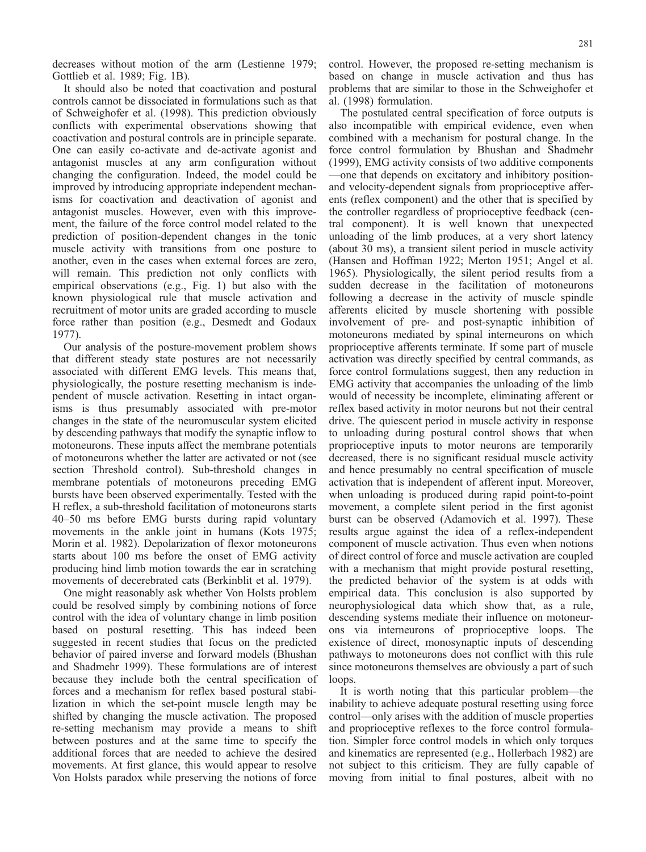decreases without motion of the arm (Lestienne 1979; Gottlieb et al. 1989; Fig. 1B).

It should also be noted that coactivation and postural controls cannot be dissociated in formulations such as that of Schweighofer et al. (1998). This prediction obviously conflicts with experimental observations showing that coactivation and postural controls are in principle separate. One can easily co-activate and de-activate agonist and antagonist muscles at any arm configuration without changing the configuration. Indeed, the model could be improved by introducing appropriate independent mechanisms for coactivation and deactivation of agonist and antagonist muscles. However, even with this improvement, the failure of the force control model related to the prediction of position-dependent changes in the tonic muscle activity with transitions from one posture to another, even in the cases when external forces are zero, will remain. This prediction not only conflicts with empirical observations (e.g., Fig. 1) but also with the known physiological rule that muscle activation and recruitment of motor units are graded according to muscle force rather than position (e.g., Desmedt and Godaux 1977).

Our analysis of the posture-movement problem shows that different steady state postures are not necessarily associated with different EMG levels. This means that, physiologically, the posture resetting mechanism is independent of muscle activation. Resetting in intact organisms is thus presumably associated with pre-motor changes in the state of the neuromuscular system elicited by descending pathways that modify the synaptic inflow to motoneurons. These inputs affect the membrane potentials of motoneurons whether the latter are activated or not (see section Threshold control). Sub-threshold changes in membrane potentials of motoneurons preceding EMG bursts have been observed experimentally. Tested with the H reflex, a sub-threshold facilitation of motoneurons starts 40–50 ms before EMG bursts during rapid voluntary movements in the ankle joint in humans (Kots 1975; Morin et al. 1982). Depolarization of flexor motoneurons starts about 100 ms before the onset of EMG activity producing hind limb motion towards the ear in scratching movements of decerebrated cats (Berkinblit et al. 1979).

One might reasonably ask whether Von Holsts problem could be resolved simply by combining notions of force control with the idea of voluntary change in limb position based on postural resetting. This has indeed been suggested in recent studies that focus on the predicted behavior of paired inverse and forward models (Bhushan and Shadmehr 1999). These formulations are of interest because they include both the central specification of forces and a mechanism for reflex based postural stabilization in which the set-point muscle length may be shifted by changing the muscle activation. The proposed re-setting mechanism may provide a means to shift between postures and at the same time to specify the additional forces that are needed to achieve the desired movements. At first glance, this would appear to resolve Von Holsts paradox while preserving the notions of force

control. However, the proposed re-setting mechanism is based on change in muscle activation and thus has problems that are similar to those in the Schweighofer et al. (1998) formulation.

The postulated central specification of force outputs is also incompatible with empirical evidence, even when combined with a mechanism for postural change. In the force control formulation by Bhushan and Shadmehr (1999), EMG activity consists of two additive components —one that depends on excitatory and inhibitory positionand velocity-dependent signals from proprioceptive afferents (reflex component) and the other that is specified by the controller regardless of proprioceptive feedback (central component). It is well known that unexpected unloading of the limb produces, at a very short latency (about 30 ms), a transient silent period in muscle activity (Hansen and Hoffman 1922; Merton 1951; Angel et al. 1965). Physiologically, the silent period results from a sudden decrease in the facilitation of motoneurons following a decrease in the activity of muscle spindle afferents elicited by muscle shortening with possible involvement of pre- and post-synaptic inhibition of motoneurons mediated by spinal interneurons on which proprioceptive afferents terminate. If some part of muscle activation was directly specified by central commands, as force control formulations suggest, then any reduction in EMG activity that accompanies the unloading of the limb would of necessity be incomplete, eliminating afferent or reflex based activity in motor neurons but not their central drive. The quiescent period in muscle activity in response to unloading during postural control shows that when proprioceptive inputs to motor neurons are temporarily decreased, there is no significant residual muscle activity and hence presumably no central specification of muscle activation that is independent of afferent input. Moreover, when unloading is produced during rapid point-to-point movement, a complete silent period in the first agonist burst can be observed (Adamovich et al. 1997). These results argue against the idea of a reflex-independent component of muscle activation. Thus even when notions of direct control of force and muscle activation are coupled with a mechanism that might provide postural resetting, the predicted behavior of the system is at odds with empirical data. This conclusion is also supported by neurophysiological data which show that, as a rule, descending systems mediate their influence on motoneurons via interneurons of proprioceptive loops. The existence of direct, monosynaptic inputs of descending pathways to motoneurons does not conflict with this rule since motoneurons themselves are obviously a part of such loops.

It is worth noting that this particular problem—the inability to achieve adequate postural resetting using force control—only arises with the addition of muscle properties and proprioceptive reflexes to the force control formulation. Simpler force control models in which only torques and kinematics are represented (e.g., Hollerbach 1982) are not subject to this criticism. They are fully capable of moving from initial to final postures, albeit with no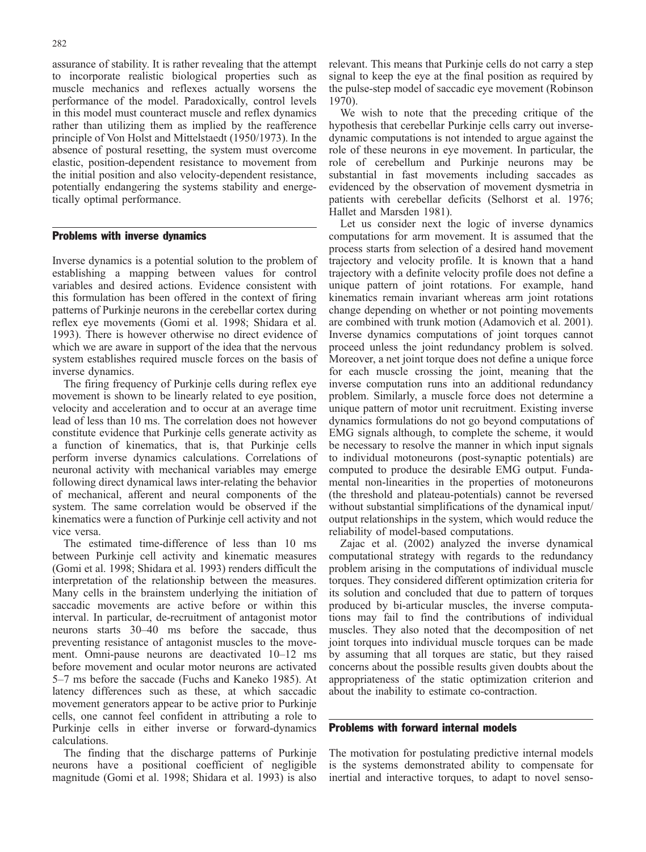assurance of stability. It is rather revealing that the attempt to incorporate realistic biological properties such as muscle mechanics and reflexes actually worsens the performance of the model. Paradoxically, control levels in this model must counteract muscle and reflex dynamics rather than utilizing them as implied by the reafference principle of Von Holst and Mittelstaedt (1950/1973). In the absence of postural resetting, the system must overcome elastic, position-dependent resistance to movement from the initial position and also velocity-dependent resistance, potentially endangering the systems stability and energetically optimal performance.

#### Problems with inverse dynamics

Inverse dynamics is a potential solution to the problem of establishing a mapping between values for control variables and desired actions. Evidence consistent with this formulation has been offered in the context of firing patterns of Purkinje neurons in the cerebellar cortex during reflex eye movements (Gomi et al. 1998; Shidara et al. 1993). There is however otherwise no direct evidence of which we are aware in support of the idea that the nervous system establishes required muscle forces on the basis of inverse dynamics.

The firing frequency of Purkinje cells during reflex eye movement is shown to be linearly related to eye position, velocity and acceleration and to occur at an average time lead of less than 10 ms. The correlation does not however constitute evidence that Purkinje cells generate activity as a function of kinematics, that is, that Purkinje cells perform inverse dynamics calculations. Correlations of neuronal activity with mechanical variables may emerge following direct dynamical laws inter-relating the behavior of mechanical, afferent and neural components of the system. The same correlation would be observed if the kinematics were a function of Purkinje cell activity and not vice versa.

The estimated time-difference of less than 10 ms between Purkinje cell activity and kinematic measures (Gomi et al. 1998; Shidara et al. 1993) renders difficult the interpretation of the relationship between the measures. Many cells in the brainstem underlying the initiation of saccadic movements are active before or within this interval. In particular, de-recruitment of antagonist motor neurons starts 30–40 ms before the saccade, thus preventing resistance of antagonist muscles to the movement. Omni-pause neurons are deactivated 10–12 ms before movement and ocular motor neurons are activated 5–7 ms before the saccade (Fuchs and Kaneko 1985). At latency differences such as these, at which saccadic movement generators appear to be active prior to Purkinje cells, one cannot feel confident in attributing a role to Purkinje cells in either inverse or forward-dynamics calculations.

The finding that the discharge patterns of Purkinje neurons have a positional coefficient of negligible magnitude (Gomi et al. 1998; Shidara et al. 1993) is also relevant. This means that Purkinje cells do not carry a step signal to keep the eye at the final position as required by the pulse-step model of saccadic eye movement (Robinson 1970).

We wish to note that the preceding critique of the hypothesis that cerebellar Purkinje cells carry out inversedynamic computations is not intended to argue against the role of these neurons in eye movement. In particular, the role of cerebellum and Purkinje neurons may be substantial in fast movements including saccades as evidenced by the observation of movement dysmetria in patients with cerebellar deficits (Selhorst et al. 1976; Hallet and Marsden 1981).

Let us consider next the logic of inverse dynamics computations for arm movement. It is assumed that the process starts from selection of a desired hand movement trajectory and velocity profile. It is known that a hand trajectory with a definite velocity profile does not define a unique pattern of joint rotations. For example, hand kinematics remain invariant whereas arm joint rotations change depending on whether or not pointing movements are combined with trunk motion (Adamovich et al. 2001). Inverse dynamics computations of joint torques cannot proceed unless the joint redundancy problem is solved. Moreover, a net joint torque does not define a unique force for each muscle crossing the joint, meaning that the inverse computation runs into an additional redundancy problem. Similarly, a muscle force does not determine a unique pattern of motor unit recruitment. Existing inverse dynamics formulations do not go beyond computations of EMG signals although, to complete the scheme, it would be necessary to resolve the manner in which input signals to individual motoneurons (post-synaptic potentials) are computed to produce the desirable EMG output. Fundamental non-linearities in the properties of motoneurons (the threshold and plateau-potentials) cannot be reversed without substantial simplifications of the dynamical input/ output relationships in the system, which would reduce the reliability of model-based computations.

Zajac et al. (2002) analyzed the inverse dynamical computational strategy with regards to the redundancy problem arising in the computations of individual muscle torques. They considered different optimization criteria for its solution and concluded that due to pattern of torques produced by bi-articular muscles, the inverse computations may fail to find the contributions of individual muscles. They also noted that the decomposition of net joint torques into individual muscle torques can be made by assuming that all torques are static, but they raised concerns about the possible results given doubts about the appropriateness of the static optimization criterion and about the inability to estimate co-contraction.

#### Problems with forward internal models

The motivation for postulating predictive internal models is the systems demonstrated ability to compensate for inertial and interactive torques, to adapt to novel senso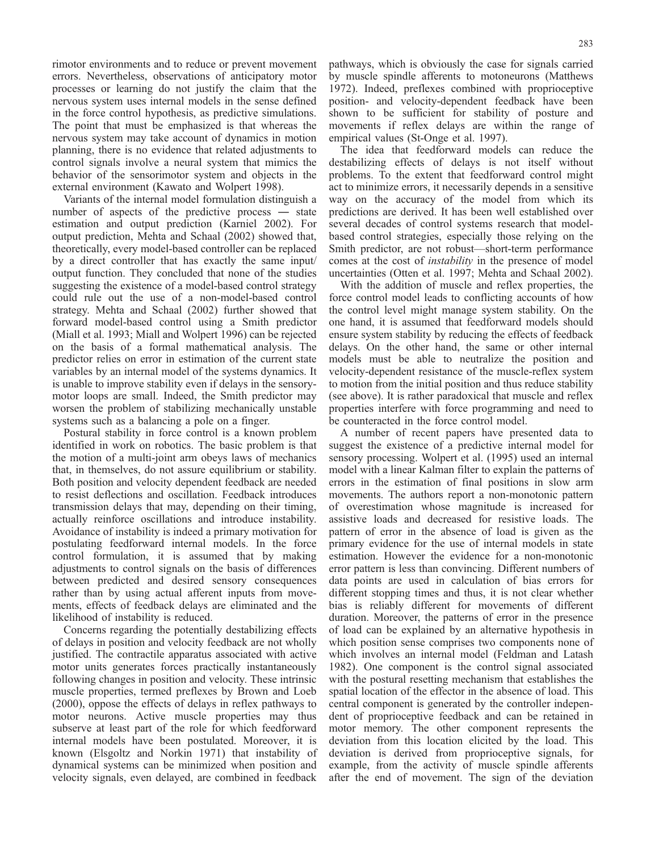rimotor environments and to reduce or prevent movement errors. Nevertheless, observations of anticipatory motor processes or learning do not justify the claim that the nervous system uses internal models in the sense defined in the force control hypothesis, as predictive simulations. The point that must be emphasized is that whereas the nervous system may take account of dynamics in motion planning, there is no evidence that related adjustments to control signals involve a neural system that mimics the behavior of the sensorimotor system and objects in the external environment (Kawato and Wolpert 1998).

Variants of the internal model formulation distinguish a number of aspects of the predictive process — state estimation and output prediction (Karniel 2002). For output prediction, Mehta and Schaal (2002) showed that, theoretically, every model-based controller can be replaced by a direct controller that has exactly the same input/ output function. They concluded that none of the studies suggesting the existence of a model-based control strategy could rule out the use of a non-model-based control strategy. Mehta and Schaal (2002) further showed that forward model-based control using a Smith predictor (Miall et al. 1993; Miall and Wolpert 1996) can be rejected on the basis of a formal mathematical analysis. The predictor relies on error in estimation of the current state variables by an internal model of the systems dynamics. It is unable to improve stability even if delays in the sensorymotor loops are small. Indeed, the Smith predictor may worsen the problem of stabilizing mechanically unstable systems such as a balancing a pole on a finger.

Postural stability in force control is a known problem identified in work on robotics. The basic problem is that the motion of a multi-joint arm obeys laws of mechanics that, in themselves, do not assure equilibrium or stability. Both position and velocity dependent feedback are needed to resist deflections and oscillation. Feedback introduces transmission delays that may, depending on their timing, actually reinforce oscillations and introduce instability. Avoidance of instability is indeed a primary motivation for postulating feedforward internal models. In the force control formulation, it is assumed that by making adjustments to control signals on the basis of differences between predicted and desired sensory consequences rather than by using actual afferent inputs from movements, effects of feedback delays are eliminated and the likelihood of instability is reduced.

Concerns regarding the potentially destabilizing effects of delays in position and velocity feedback are not wholly justified. The contractile apparatus associated with active motor units generates forces practically instantaneously following changes in position and velocity. These intrinsic muscle properties, termed preflexes by Brown and Loeb (2000), oppose the effects of delays in reflex pathways to motor neurons. Active muscle properties may thus subserve at least part of the role for which feedforward internal models have been postulated. Moreover, it is known (Elsgoltz and Norkin 1971) that instability of dynamical systems can be minimized when position and velocity signals, even delayed, are combined in feedback

pathways, which is obviously the case for signals carried by muscle spindle afferents to motoneurons (Matthews 1972). Indeed, preflexes combined with proprioceptive position- and velocity-dependent feedback have been shown to be sufficient for stability of posture and movements if reflex delays are within the range of empirical values (St-Onge et al. 1997).

The idea that feedforward models can reduce the destabilizing effects of delays is not itself without problems. To the extent that feedforward control might act to minimize errors, it necessarily depends in a sensitive way on the accuracy of the model from which its predictions are derived. It has been well established over several decades of control systems research that modelbased control strategies, especially those relying on the Smith predictor, are not robust—short-term performance comes at the cost of instability in the presence of model uncertainties (Otten et al. 1997; Mehta and Schaal 2002).

With the addition of muscle and reflex properties, the force control model leads to conflicting accounts of how the control level might manage system stability. On the one hand, it is assumed that feedforward models should ensure system stability by reducing the effects of feedback delays. On the other hand, the same or other internal models must be able to neutralize the position and velocity-dependent resistance of the muscle-reflex system to motion from the initial position and thus reduce stability (see above). It is rather paradoxical that muscle and reflex properties interfere with force programming and need to be counteracted in the force control model.

A number of recent papers have presented data to suggest the existence of a predictive internal model for sensory processing. Wolpert et al. (1995) used an internal model with a linear Kalman filter to explain the patterns of errors in the estimation of final positions in slow arm movements. The authors report a non-monotonic pattern of overestimation whose magnitude is increased for assistive loads and decreased for resistive loads. The pattern of error in the absence of load is given as the primary evidence for the use of internal models in state estimation. However the evidence for a non-monotonic error pattern is less than convincing. Different numbers of data points are used in calculation of bias errors for different stopping times and thus, it is not clear whether bias is reliably different for movements of different duration. Moreover, the patterns of error in the presence of load can be explained by an alternative hypothesis in which position sense comprises two components none of which involves an internal model (Feldman and Latash 1982). One component is the control signal associated with the postural resetting mechanism that establishes the spatial location of the effector in the absence of load. This central component is generated by the controller independent of proprioceptive feedback and can be retained in motor memory. The other component represents the deviation from this location elicited by the load. This deviation is derived from proprioceptive signals, for example, from the activity of muscle spindle afferents after the end of movement. The sign of the deviation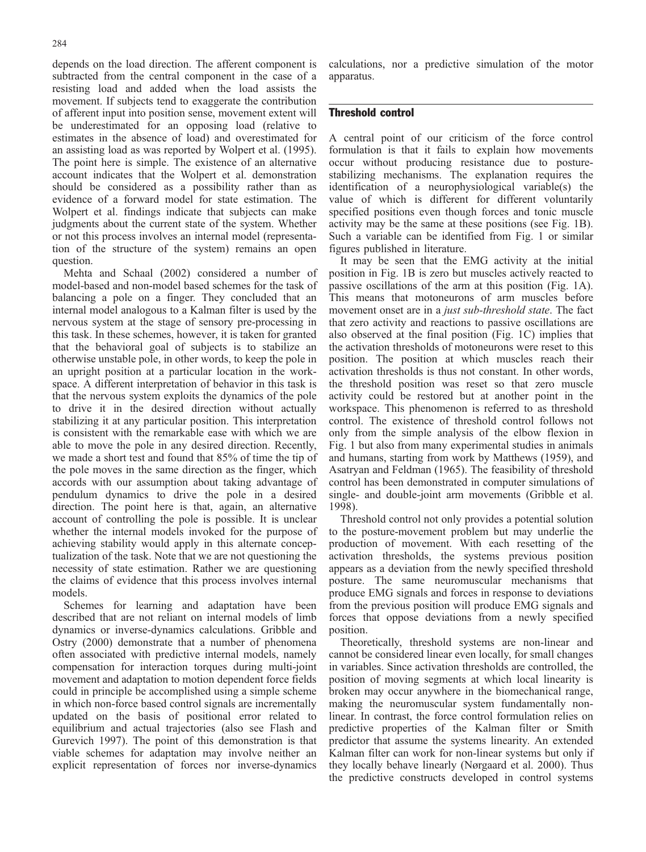depends on the load direction. The afferent component is subtracted from the central component in the case of a resisting load and added when the load assists the movement. If subjects tend to exaggerate the contribution of afferent input into position sense, movement extent will be underestimated for an opposing load (relative to estimates in the absence of load) and overestimated for an assisting load as was reported by Wolpert et al. (1995). The point here is simple. The existence of an alternative account indicates that the Wolpert et al. demonstration should be considered as a possibility rather than as evidence of a forward model for state estimation. The Wolpert et al. findings indicate that subjects can make judgments about the current state of the system. Whether or not this process involves an internal model (representation of the structure of the system) remains an open question.

Mehta and Schaal (2002) considered a number of model-based and non-model based schemes for the task of balancing a pole on a finger. They concluded that an internal model analogous to a Kalman filter is used by the nervous system at the stage of sensory pre-processing in this task. In these schemes, however, it is taken for granted that the behavioral goal of subjects is to stabilize an otherwise unstable pole, in other words, to keep the pole in an upright position at a particular location in the workspace. A different interpretation of behavior in this task is that the nervous system exploits the dynamics of the pole to drive it in the desired direction without actually stabilizing it at any particular position. This interpretation is consistent with the remarkable ease with which we are able to move the pole in any desired direction. Recently, we made a short test and found that 85% of time the tip of the pole moves in the same direction as the finger, which accords with our assumption about taking advantage of pendulum dynamics to drive the pole in a desired direction. The point here is that, again, an alternative account of controlling the pole is possible. It is unclear whether the internal models invoked for the purpose of achieving stability would apply in this alternate conceptualization of the task. Note that we are not questioning the necessity of state estimation. Rather we are questioning the claims of evidence that this process involves internal models.

Schemes for learning and adaptation have been described that are not reliant on internal models of limb dynamics or inverse-dynamics calculations. Gribble and Ostry (2000) demonstrate that a number of phenomena often associated with predictive internal models, namely compensation for interaction torques during multi-joint movement and adaptation to motion dependent force fields could in principle be accomplished using a simple scheme in which non-force based control signals are incrementally updated on the basis of positional error related to equilibrium and actual trajectories (also see Flash and Gurevich 1997). The point of this demonstration is that viable schemes for adaptation may involve neither an explicit representation of forces nor inverse-dynamics

calculations, nor a predictive simulation of the motor apparatus.

## Threshold control

A central point of our criticism of the force control formulation is that it fails to explain how movements occur without producing resistance due to posturestabilizing mechanisms. The explanation requires the identification of a neurophysiological variable(s) the value of which is different for different voluntarily specified positions even though forces and tonic muscle activity may be the same at these positions (see Fig. 1B). Such a variable can be identified from Fig. 1 or similar figures published in literature.

It may be seen that the EMG activity at the initial position in Fig. 1B is zero but muscles actively reacted to passive oscillations of the arm at this position (Fig. 1A). This means that motoneurons of arm muscles before movement onset are in a *just sub-threshold state*. The fact that zero activity and reactions to passive oscillations are also observed at the final position (Fig. 1C) implies that the activation thresholds of motoneurons were reset to this position. The position at which muscles reach their activation thresholds is thus not constant. In other words, the threshold position was reset so that zero muscle activity could be restored but at another point in the workspace. This phenomenon is referred to as threshold control. The existence of threshold control follows not only from the simple analysis of the elbow flexion in Fig. 1 but also from many experimental studies in animals and humans, starting from work by Matthews (1959), and Asatryan and Feldman (1965). The feasibility of threshold control has been demonstrated in computer simulations of single- and double-joint arm movements (Gribble et al. 1998).

Threshold control not only provides a potential solution to the posture-movement problem but may underlie the production of movement. With each resetting of the activation thresholds, the systems previous position appears as a deviation from the newly specified threshold posture. The same neuromuscular mechanisms that produce EMG signals and forces in response to deviations from the previous position will produce EMG signals and forces that oppose deviations from a newly specified position.

Theoretically, threshold systems are non-linear and cannot be considered linear even locally, for small changes in variables. Since activation thresholds are controlled, the position of moving segments at which local linearity is broken may occur anywhere in the biomechanical range, making the neuromuscular system fundamentally nonlinear. In contrast, the force control formulation relies on predictive properties of the Kalman filter or Smith predictor that assume the systems linearity. An extended Kalman filter can work for non-linear systems but only if they locally behave linearly (Nørgaard et al. 2000). Thus the predictive constructs developed in control systems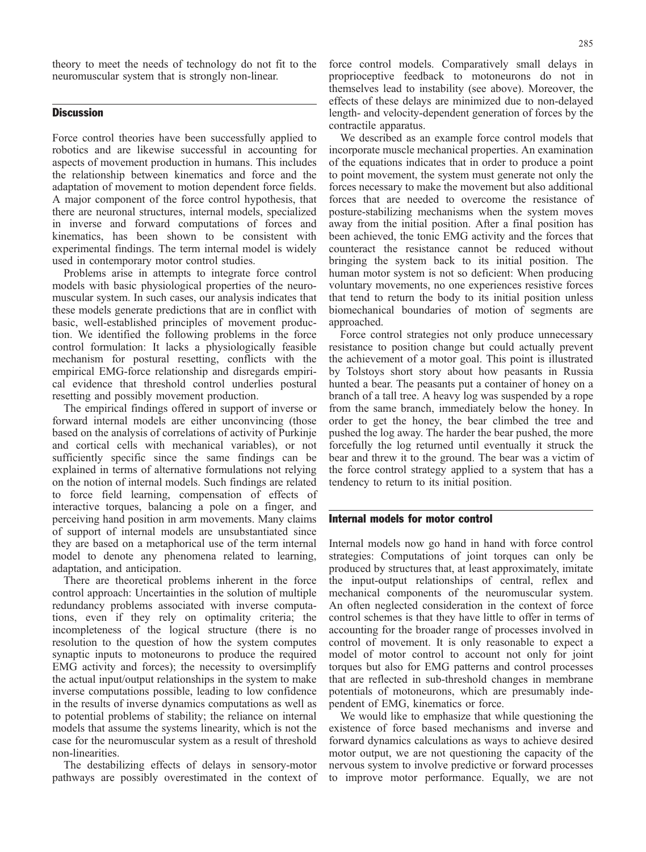theory to meet the needs of technology do not fit to the neuromuscular system that is strongly non-linear.

# **Discussion**

Force control theories have been successfully applied to robotics and are likewise successful in accounting for aspects of movement production in humans. This includes the relationship between kinematics and force and the adaptation of movement to motion dependent force fields. A major component of the force control hypothesis, that there are neuronal structures, internal models, specialized in inverse and forward computations of forces and kinematics, has been shown to be consistent with experimental findings. The term internal model is widely used in contemporary motor control studies.

Problems arise in attempts to integrate force control models with basic physiological properties of the neuromuscular system. In such cases, our analysis indicates that these models generate predictions that are in conflict with basic, well-established principles of movement production. We identified the following problems in the force control formulation: It lacks a physiologically feasible mechanism for postural resetting, conflicts with the empirical EMG-force relationship and disregards empirical evidence that threshold control underlies postural resetting and possibly movement production.

The empirical findings offered in support of inverse or forward internal models are either unconvincing (those based on the analysis of correlations of activity of Purkinje and cortical cells with mechanical variables), or not sufficiently specific since the same findings can be explained in terms of alternative formulations not relying on the notion of internal models. Such findings are related to force field learning, compensation of effects of interactive torques, balancing a pole on a finger, and perceiving hand position in arm movements. Many claims of support of internal models are unsubstantiated since they are based on a metaphorical use of the term internal model to denote any phenomena related to learning, adaptation, and anticipation.

There are theoretical problems inherent in the force control approach: Uncertainties in the solution of multiple redundancy problems associated with inverse computations, even if they rely on optimality criteria; the incompleteness of the logical structure (there is no resolution to the question of how the system computes synaptic inputs to motoneurons to produce the required EMG activity and forces); the necessity to oversimplify the actual input/output relationships in the system to make inverse computations possible, leading to low confidence in the results of inverse dynamics computations as well as to potential problems of stability; the reliance on internal models that assume the systems linearity, which is not the case for the neuromuscular system as a result of threshold non-linearities.

The destabilizing effects of delays in sensory-motor pathways are possibly overestimated in the context of force control models. Comparatively small delays in proprioceptive feedback to motoneurons do not in themselves lead to instability (see above). Moreover, the effects of these delays are minimized due to non-delayed length- and velocity-dependent generation of forces by the contractile apparatus.

We described as an example force control models that incorporate muscle mechanical properties. An examination of the equations indicates that in order to produce a point to point movement, the system must generate not only the forces necessary to make the movement but also additional forces that are needed to overcome the resistance of posture-stabilizing mechanisms when the system moves away from the initial position. After a final position has been achieved, the tonic EMG activity and the forces that counteract the resistance cannot be reduced without bringing the system back to its initial position. The human motor system is not so deficient: When producing voluntary movements, no one experiences resistive forces that tend to return the body to its initial position unless biomechanical boundaries of motion of segments are approached.

Force control strategies not only produce unnecessary resistance to position change but could actually prevent the achievement of a motor goal. This point is illustrated by Tolstoys short story about how peasants in Russia hunted a bear. The peasants put a container of honey on a branch of a tall tree. A heavy log was suspended by a rope from the same branch, immediately below the honey. In order to get the honey, the bear climbed the tree and pushed the log away. The harder the bear pushed, the more forcefully the log returned until eventually it struck the bear and threw it to the ground. The bear was a victim of the force control strategy applied to a system that has a tendency to return to its initial position.

# Internal models for motor control

Internal models now go hand in hand with force control strategies: Computations of joint torques can only be produced by structures that, at least approximately, imitate the input-output relationships of central, reflex and mechanical components of the neuromuscular system. An often neglected consideration in the context of force control schemes is that they have little to offer in terms of accounting for the broader range of processes involved in control of movement. It is only reasonable to expect a model of motor control to account not only for joint torques but also for EMG patterns and control processes that are reflected in sub-threshold changes in membrane potentials of motoneurons, which are presumably independent of EMG, kinematics or force.

We would like to emphasize that while questioning the existence of force based mechanisms and inverse and forward dynamics calculations as ways to achieve desired motor output, we are not questioning the capacity of the nervous system to involve predictive or forward processes to improve motor performance. Equally, we are not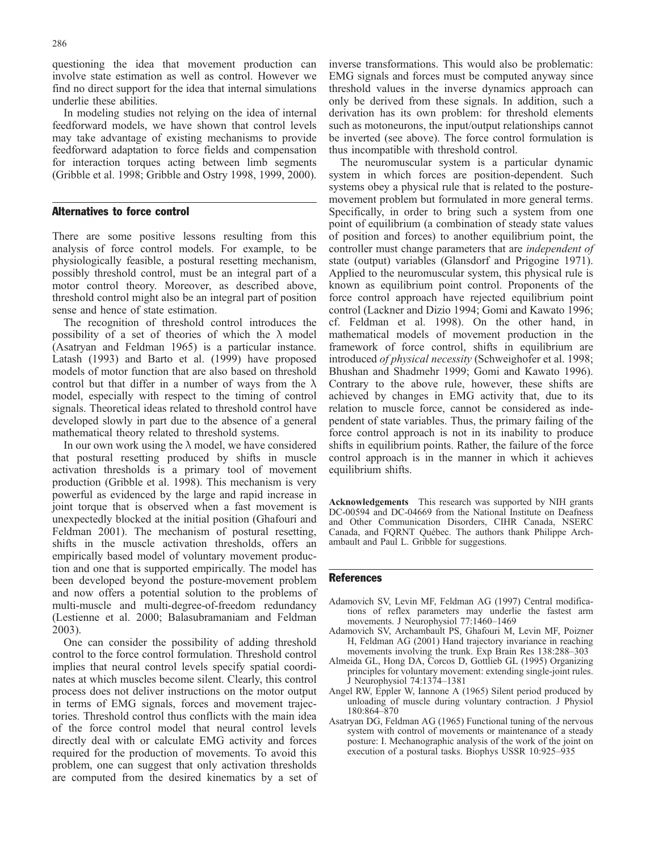questioning the idea that movement production can involve state estimation as well as control. However we find no direct support for the idea that internal simulations underlie these abilities.

In modeling studies not relying on the idea of internal feedforward models, we have shown that control levels may take advantage of existing mechanisms to provide feedforward adaptation to force fields and compensation for interaction torques acting between limb segments (Gribble et al. 1998; Gribble and Ostry 1998, 1999, 2000).

## Alternatives to force control

There are some positive lessons resulting from this analysis of force control models. For example, to be physiologically feasible, a postural resetting mechanism, possibly threshold control, must be an integral part of a motor control theory. Moreover, as described above, threshold control might also be an integral part of position sense and hence of state estimation.

The recognition of threshold control introduces the possibility of a set of theories of which the  $\lambda$  model (Asatryan and Feldman 1965) is a particular instance. Latash (1993) and Barto et al. (1999) have proposed models of motor function that are also based on threshold control but that differ in a number of ways from the  $\lambda$ model, especially with respect to the timing of control signals. Theoretical ideas related to threshold control have developed slowly in part due to the absence of a general mathematical theory related to threshold systems.

In our own work using the  $\lambda$  model, we have considered that postural resetting produced by shifts in muscle activation thresholds is a primary tool of movement production (Gribble et al. 1998). This mechanism is very powerful as evidenced by the large and rapid increase in joint torque that is observed when a fast movement is unexpectedly blocked at the initial position (Ghafouri and Feldman 2001). The mechanism of postural resetting, shifts in the muscle activation thresholds, offers an empirically based model of voluntary movement production and one that is supported empirically. The model has been developed beyond the posture-movement problem and now offers a potential solution to the problems of multi-muscle and multi-degree-of-freedom redundancy (Lestienne et al. 2000; Balasubramaniam and Feldman 2003).

One can consider the possibility of adding threshold control to the force control formulation. Threshold control implies that neural control levels specify spatial coordinates at which muscles become silent. Clearly, this control process does not deliver instructions on the motor output in terms of EMG signals, forces and movement trajectories. Threshold control thus conflicts with the main idea of the force control model that neural control levels directly deal with or calculate EMG activity and forces required for the production of movements. To avoid this problem, one can suggest that only activation thresholds are computed from the desired kinematics by a set of

inverse transformations. This would also be problematic: EMG signals and forces must be computed anyway since threshold values in the inverse dynamics approach can only be derived from these signals. In addition, such a derivation has its own problem: for threshold elements such as motoneurons, the input/output relationships cannot be inverted (see above). The force control formulation is thus incompatible with threshold control.

The neuromuscular system is a particular dynamic system in which forces are position-dependent. Such systems obey a physical rule that is related to the posturemovement problem but formulated in more general terms. Specifically, in order to bring such a system from one point of equilibrium (a combination of steady state values of position and forces) to another equilibrium point, the controller must change parameters that are independent of state (output) variables (Glansdorf and Prigogine 1971). Applied to the neuromuscular system, this physical rule is known as equilibrium point control. Proponents of the force control approach have rejected equilibrium point control (Lackner and Dizio 1994; Gomi and Kawato 1996; cf. Feldman et al. 1998). On the other hand, in mathematical models of movement production in the framework of force control, shifts in equilibrium are introduced of physical necessity (Schweighofer et al. 1998; Bhushan and Shadmehr 1999; Gomi and Kawato 1996). Contrary to the above rule, however, these shifts are achieved by changes in EMG activity that, due to its relation to muscle force, cannot be considered as independent of state variables. Thus, the primary failing of the force control approach is not in its inability to produce shifts in equilibrium points. Rather, the failure of the force control approach is in the manner in which it achieves equilibrium shifts.

Acknowledgements This research was supported by NIH grants DC-00594 and DC-04669 from the National Institute on Deafness and Other Communication Disorders, CIHR Canada, NSERC Canada, and FQRNT Québec. The authors thank Philippe Archambault and Paul L. Gribble for suggestions.

#### References

- Adamovich SV, Levin MF, Feldman AG (1997) Central modifications of reflex parameters may underlie the fastest arm movements. J Neurophysiol 77:1460–1469
- Adamovich SV, Archambault PS, Ghafouri M, Levin MF, Poizner H, Feldman AG (2001) Hand trajectory invariance in reaching movements involving the trunk. Exp Brain Res 138:288–303
- Almeida GL, Hong DA, Corcos D, Gottlieb GL (1995) Organizing principles for voluntary movement: extending single-joint rules. J Neurophysiol 74:1374–1381
- Angel RW, Eppler W, Iannone A (1965) Silent period produced by unloading of muscle during voluntary contraction. J Physiol 180:864–870
- Asatryan DG, Feldman AG (1965) Functional tuning of the nervous system with control of movements or maintenance of a steady posture: I. Mechanographic analysis of the work of the joint on execution of a postural tasks. Biophys USSR 10:925–935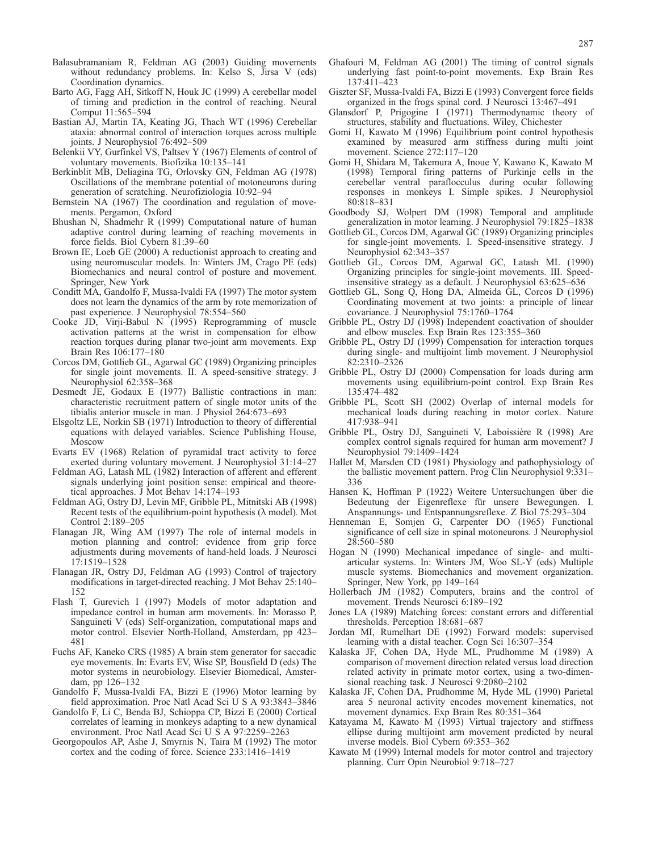- Balasubramaniam R, Feldman AG (2003) Guiding movements without redundancy problems. In: Kelso S, Jirsa V (eds) Coordination dynamics.
- Barto AG, Fagg AH, Sitkoff N, Houk JC (1999) A cerebellar model of timing and prediction in the control of reaching. Neural Comput 11:565–594
- Bastian AJ, Martin TA, Keating JG, Thach WT (1996) Cerebellar ataxia: abnormal control of interaction torques across multiple joints. J Neurophysiol 76:492–509
- Belenkii VY, Gurfinkel VS, Paltsev Y (1967) Elements of control of voluntary movements. Biofizika 10:135–141
- Berkinblit MB, Deliagina TG, Orlovsky GN, Feldman AG (1978) Oscillations of the membrane potential of motoneurons during generation of scratching. Neurofiziologia 10:92–94
- Bernstein NA (1967) The coordination and regulation of movements. Pergamon, Oxford
- Bhushan N, Shadmehr R (1999) Computational nature of human adaptive control during learning of reaching movements in force fields. Biol Cybern 81:39–60
- Brown IE, Loeb GE (2000) A reductionist approach to creating and using neuromuscular models. In: Winters JM, Crago PE (eds) Biomechanics and neural control of posture and movement. Springer, New York
- Conditt MA, Gandolfo F, Mussa-Ivaldi FA (1997) The motor system does not learn the dynamics of the arm by rote memorization of past experience. J Neurophysiol 78:554–560
- Cooke JD, Virji-Babul N (1995) Reprogramming of muscle activation patterns at the wrist in compensation for elbow reaction torques during planar two-joint arm movements. Exp Brain Res 106:177–180
- Corcos DM, Gottlieb GL, Agarwal GC (1989) Organizing principles for single joint movements. II. A speed-sensitive strategy. J Neurophysiol 62:358–368
- Desmedt JE, Godaux E (1977) Ballistic contractions in man: characteristic recruitment pattern of single motor units of the tibialis anterior muscle in man. J Physiol 264:673–693
- Elsgoltz LE, Norkin SB (1971) Introduction to theory of differential equations with delayed variables. Science Publishing House, Moscow
- Evarts EV (1968) Relation of pyramidal tract activity to force exerted during voluntary movement. J Neurophysiol 31:14–27
- Feldman AG, Latash ML (1982) Interaction of afferent and efferent signals underlying joint position sense: empirical and theoretical approaches. J Mot Behav 14:174–193
- Feldman AG, Ostry DJ, Levin MF, Gribble PL, Mitnitski AB (1998) Recent tests of the equilibrium-point hypothesis  $(\lambda \text{ model})$ . Mot Control 2:189–205
- Flanagan JR, Wing AM (1997) The role of internal models in motion planning and control: evidence from grip force adjustments during movements of hand-held loads. J Neurosci 17:1519–1528
- Flanagan JR, Ostry DJ, Feldman AG (1993) Control of trajectory modifications in target-directed reaching. J Mot Behav 25:140– 152
- Flash T, Gurevich I (1997) Models of motor adaptation and impedance control in human arm movements. In: Morasso P, Sanguineti V (eds) Self-organization, computational maps and motor control. Elsevier North-Holland, Amsterdam, pp 423– 481
- Fuchs AF, Kaneko CRS (1985) A brain stem generator for saccadic eye movements. In: Evarts EV, Wise SP, Bousfield D (eds) The motor systems in neurobiology. Elsevier Biomedical, Amsterdam, pp 126–132
- Gandolfo F, Mussa-Ivaldi FA, Bizzi E (1996) Motor learning by field approximation. Proc Natl Acad Sci U S A 93:3843–3846
- Gandolfo F, Li C, Benda BJ, Schioppa CP, Bizzi E (2000) Cortical correlates of learning in monkeys adapting to a new dynamical environment. Proc Natl Acad Sci U S A 97:2259–2263
- Georgopoulos AP, Ashe J, Smyrnis N, Taira M (1992) The motor cortex and the coding of force. Science 233:1416–1419
- Ghafouri M, Feldman AG (2001) The timing of control signals underlying fast point-to-point movements. Exp Brain Res 137:411–423
- Giszter SF, Mussa-Ivaldi FA, Bizzi E (1993) Convergent force fields organized in the frogs spinal cord. J Neurosci 13:467–491
- Glansdorf P, Prigogine I (1971) Thermodynamic theory of structures, stability and fluctuations. Wiley, Chichester
- Gomi H, Kawato M (1996) Equilibrium point control hypothesis examined by measured arm stiffness during multi joint movement. Science 272:117–120
- Gomi H, Shidara M, Takemura A, Inoue Y, Kawano K, Kawato M (1998) Temporal firing patterns of Purkinje cells in the cerebellar ventral paraflocculus during ocular following responses in monkeys I. Simple spikes. J Neurophysiol 80:818–831
- Goodbody SJ, Wolpert DM (1998) Temporal and amplitude generalization in motor learning. J Neurophysiol 79:1825–1838
- Gottlieb GL, Corcos DM, Agarwal GC (1989) Organizing principles for single-joint movements. I. Speed-insensitive strategy. J Neurophysiol 62:343–357
- Gottlieb GL, Corcos DM, Agarwal GC, Latash ML (1990) Organizing principles for single-joint movements. III. Speedinsensitive strategy as a default. J Neurophysiol 63:625–636
- Gottlieb GL, Song Q, Hong DA, Almeida GL, Corcos D (1996) Coordinating movement at two joints: a principle of linear covariance. J Neurophysiol 75:1760–1764
- Gribble PL, Ostry DJ (1998) Independent coactivation of shoulder and elbow muscles. Exp Brain Res 123:355–360
- Gribble PL, Ostry DJ (1999) Compensation for interaction torques during single- and multijoint limb movement. J Neurophysiol 82:2310–2326
- Gribble PL, Ostry DJ (2000) Compensation for loads during arm movements using equilibrium-point control. Exp Brain Res 135:474–482
- Gribble PL, Scott SH (2002) Overlap of internal models for mechanical loads during reaching in motor cortex. Nature 417:938–941
- Gribble PL, Ostry DJ, Sanguineti V, Laboissière R (1998) Are complex control signals required for human arm movement? J Neurophysiol 79:1409-1424
- Hallet M, Marsden CD (1981) Physiology and pathophysiology of the ballistic movement pattern. Prog Clin Neurophysiol 9:331– 336
- Hansen K, Hoffman P (1922) Weitere Untersuchungen über die Bedeutung der Eigenreflexe für unsere Bewegungen. I. Anspannungs- und Entspannungsreflexe. Z Biol 75:293–304
- Henneman E, Somjen G, Carpenter DO (1965) Functional significance of cell size in spinal motoneurons. J Neurophysiol 28:560–580
- Hogan N (1990) Mechanical impedance of single- and multiarticular systems. In: Winters JM, Woo SL-Y (eds) Multiple muscle systems. Biomechanics and movement organization. Springer, New York, pp 149–164
- Hollerbach JM (1982) Computers, brains and the control of movement. Trends Neurosci 6:189–192
- Jones LA (1989) Matching forces: constant errors and differential thresholds. Perception 18:681–687
- Jordan MI, Rumelhart DE (1992) Forward models: supervised learning with a distal teacher. Cogn Sci 16:307–354
- Kalaska JF, Cohen DA, Hyde ML, Prudhomme M (1989) A comparison of movement direction related versus load direction related activity in primate motor cortex, using a two-dimensional reaching task. J Neurosci 9:2080–2102
- Kalaska JF, Cohen DA, Prudhomme M, Hyde ML (1990) Parietal area 5 neuronal activity encodes movement kinematics, not movement dynamics. Exp Brain Res 80:351–364
- Katayama M, Kawato M (1993) Virtual trajectory and stiffness ellipse during multijoint arm movement predicted by neural inverse models. Biol Cybern 69:353–362
- Kawato M (1999) Internal models for motor control and trajectory planning. Curr Opin Neurobiol 9:718–727